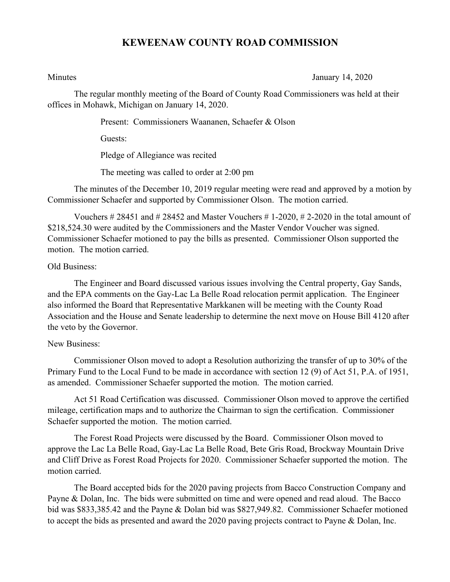## **KEWEENAW COUNTY ROAD COMMISSION**

Minutes January 14, 2020

The regular monthly meeting of the Board of County Road Commissioners was held at their offices in Mohawk, Michigan on January 14, 2020.

Present: Commissioners Waananen, Schaefer & Olson

Guests:

Pledge of Allegiance was recited

The meeting was called to order at 2:00 pm

The minutes of the December 10, 2019 regular meeting were read and approved by a motion by Commissioner Schaefer and supported by Commissioner Olson. The motion carried.

Vouchers  $\# 28451$  and  $\# 28452$  and Master Vouchers  $\# 1$ -2020,  $\# 2$ -2020 in the total amount of \$218,524.30 were audited by the Commissioners and the Master Vendor Voucher was signed. Commissioner Schaefer motioned to pay the bills as presented. Commissioner Olson supported the motion. The motion carried.

## Old Business:

The Engineer and Board discussed various issues involving the Central property, Gay Sands, and the EPA comments on the Gay-Lac La Belle Road relocation permit application. The Engineer also informed the Board that Representative Markkanen will be meeting with the County Road Association and the House and Senate leadership to determine the next move on House Bill 4120 after the veto by the Governor.

## New Business:

Commissioner Olson moved to adopt a Resolution authorizing the transfer of up to 30% of the Primary Fund to the Local Fund to be made in accordance with section 12 (9) of Act 51, P.A. of 1951, as amended. Commissioner Schaefer supported the motion. The motion carried.

Act 51 Road Certification was discussed. Commissioner Olson moved to approve the certified mileage, certification maps and to authorize the Chairman to sign the certification. Commissioner Schaefer supported the motion. The motion carried.

The Forest Road Projects were discussed by the Board. Commissioner Olson moved to approve the Lac La Belle Road, Gay-Lac La Belle Road, Bete Gris Road, Brockway Mountain Drive and Cliff Drive as Forest Road Projects for 2020. Commissioner Schaefer supported the motion. The motion carried.

The Board accepted bids for the 2020 paving projects from Bacco Construction Company and Payne & Dolan, Inc. The bids were submitted on time and were opened and read aloud. The Bacco bid was \$833,385.42 and the Payne & Dolan bid was \$827,949.82. Commissioner Schaefer motioned to accept the bids as presented and award the 2020 paving projects contract to Payne & Dolan, Inc.